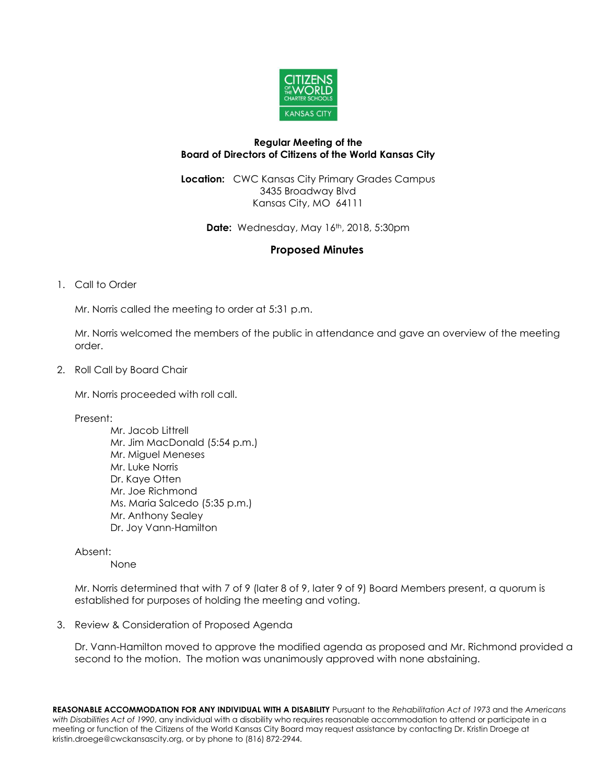

#### **Regular Meeting of the Board of Directors of Citizens of the World Kansas City**

**Location:** CWC Kansas City Primary Grades Campus 3435 Broadway Blvd Kansas City, MO 64111

**Date:** Wednesday, May 16th, 2018, 5:30pm

# **Proposed Minutes**

## 1. Call to Order

Mr. Norris called the meeting to order at 5:31 p.m.

Mr. Norris welcomed the members of the public in attendance and gave an overview of the meeting order.

2. Roll Call by Board Chair

Mr. Norris proceeded with roll call.

Present:

Mr. Jacob Littrell Mr. Jim MacDonald (5:54 p.m.) Mr. Miguel Meneses Mr. Luke Norris Dr. Kaye Otten Mr. Joe Richmond Ms. Maria Salcedo (5:35 p.m.) Mr. Anthony Sealey Dr. Joy Vann-Hamilton

## Absent:

None

Mr. Norris determined that with 7 of 9 (later 8 of 9, later 9 of 9) Board Members present, a quorum is established for purposes of holding the meeting and voting.

3. Review & Consideration of Proposed Agenda

Dr. Vann-Hamilton moved to approve the modified agenda as proposed and Mr. Richmond provided a second to the motion. The motion was unanimously approved with none abstaining.

**REASONABLE ACCOMMODATION FOR ANY INDIVIDUAL WITH A DISABILITY** Pursuant to the *Rehabilitation Act of 1973* and the *Americans with Disabilities Act of 1990*, any individual with a disability who requires reasonable accommodation to attend or participate in a meeting or function of the Citizens of the World Kansas City Board may request assistance by contacting Dr. Kristin Droege at kristin.droege@cwckansascity.org, or by phone to (816) 872-2944.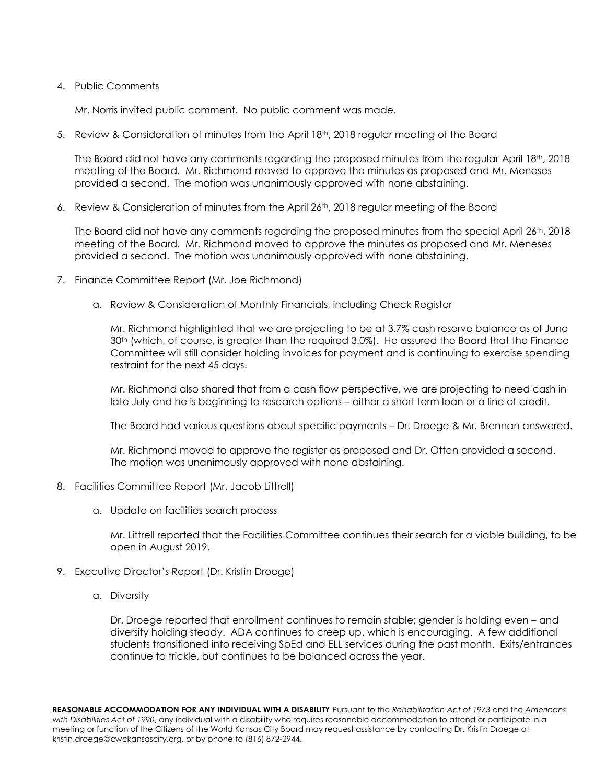#### 4. Public Comments

Mr. Norris invited public comment. No public comment was made.

5. Review & Consideration of minutes from the April 18th, 2018 regular meeting of the Board

The Board did not have any comments regarding the proposed minutes from the regular April  $18<sup>th</sup>$ , 2018 meeting of the Board. Mr. Richmond moved to approve the minutes as proposed and Mr. Meneses provided a second. The motion was unanimously approved with none abstaining.

6. Review & Consideration of minutes from the April 26th, 2018 regular meeting of the Board

The Board did not have any comments regarding the proposed minutes from the special April  $26<sup>th</sup>$ , 2018 meeting of the Board. Mr. Richmond moved to approve the minutes as proposed and Mr. Meneses provided a second. The motion was unanimously approved with none abstaining.

- 7. Finance Committee Report (Mr. Joe Richmond)
	- a. Review & Consideration of Monthly Financials, including Check Register

Mr. Richmond highlighted that we are projecting to be at 3.7% cash reserve balance as of June 30th (which, of course, is greater than the required 3.0%). He assured the Board that the Finance Committee will still consider holding invoices for payment and is continuing to exercise spending restraint for the next 45 days.

Mr. Richmond also shared that from a cash flow perspective, we are projecting to need cash in late July and he is beginning to research options – either a short term loan or a line of credit.

The Board had various questions about specific payments – Dr. Droege & Mr. Brennan answered.

Mr. Richmond moved to approve the register as proposed and Dr. Otten provided a second. The motion was unanimously approved with none abstaining.

- 8. Facilities Committee Report (Mr. Jacob Littrell)
	- a. Update on facilities search process

Mr. Littrell reported that the Facilities Committee continues their search for a viable building, to be open in August 2019.

- 9. Executive Director's Report (Dr. Kristin Droege)
	- a. Diversity

Dr. Droege reported that enrollment continues to remain stable; gender is holding even – and diversity holding steady. ADA continues to creep up, which is encouraging. A few additional students transitioned into receiving SpEd and ELL services during the past month. Exits/entrances continue to trickle, but continues to be balanced across the year.

**REASONABLE ACCOMMODATION FOR ANY INDIVIDUAL WITH A DISABILITY** Pursuant to the *Rehabilitation Act of 1973* and the *Americans with Disabilities Act of 1990*, any individual with a disability who requires reasonable accommodation to attend or participate in a meeting or function of the Citizens of the World Kansas City Board may request assistance by contacting Dr. Kristin Droege at kristin.droege@cwckansascity.org, or by phone to (816) 872-2944.